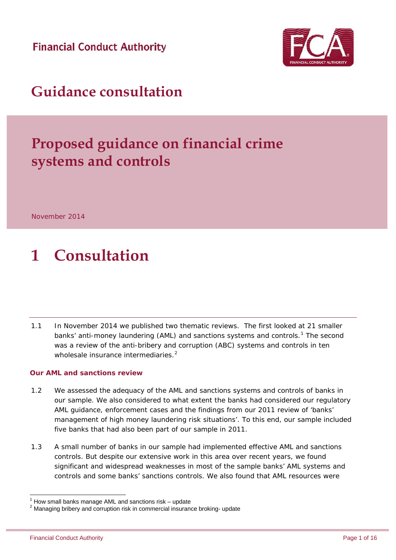**Financial Conduct Authority** 



### **Guidance consultation**

## **Proposed guidance on financial crime systems and controls**

November 2014

## **1 Consultation**

1.1 In November 2014 we published two thematic reviews. The first looked at 21 smaller banks' anti-money laundering (AML) and sanctions systems and controls.<sup>[1](#page-0-0)</sup> The second was a review of the anti-bribery and corruption (ABC) systems and controls in ten wholesale insurance intermediaries. $2^2$  $2^2$ 

#### **Our AML and sanctions review**

- 1.2 We assessed the adequacy of the AML and sanctions systems and controls of banks in our sample. We also considered to what extent the banks had considered our regulatory AML guidance, enforcement cases and the findings from our 2011 review of 'banks' management of high money laundering risk situations'. To this end, our sample included five banks that had also been part of our sample in 2011.
- 1.3 A small number of banks in our sample had implemented effective AML and sanctions controls. But despite our extensive work in this area over recent years, we found significant and widespread weaknesses in most of the sample banks' AML systems and controls and some banks' sanctions controls. We also found that AML resources were

 $1$  How small banks manage AML and sanctions risk – update

<span id="page-0-1"></span><span id="page-0-0"></span> $2$  Managing bribery and corruption risk in commercial insurance broking- update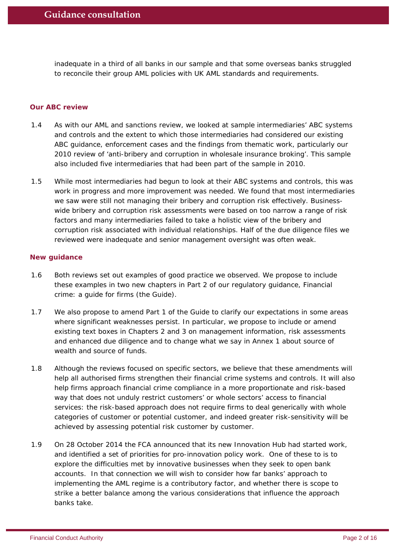inadequate in a third of all banks in our sample and that some overseas banks struggled to reconcile their group AML policies with UK AML standards and requirements.

#### **Our ABC review**

- 1.4 As with our AML and sanctions review, we looked at sample intermediaries' ABC systems and controls and the extent to which those intermediaries had considered our existing ABC guidance, enforcement cases and the findings from thematic work, particularly our 2010 review of 'anti-bribery and corruption in wholesale insurance broking'. This sample also included five intermediaries that had been part of the sample in 2010.
- 1.5 While most intermediaries had begun to look at their ABC systems and controls, this was work in progress and more improvement was needed. We found that most intermediaries we saw were still not managing their bribery and corruption risk effectively. Businesswide bribery and corruption risk assessments were based on too narrow a range of risk factors and many intermediaries failed to take a holistic view of the bribery and corruption risk associated with individual relationships. Half of the due diligence files we reviewed were inadequate and senior management oversight was often weak.

#### **New guidance**

- 1.6 Both reviews set out examples of good practice we observed. We propose to include these examples in two new chapters in Part 2 of our regulatory guidance, Financial crime: a guide for firms (the Guide).
- 1.7 We also propose to amend Part 1 of the Guide to clarify our expectations in some areas where significant weaknesses persist. In particular, we propose to include or amend existing text boxes in Chapters 2 and 3 on management information, risk assessments and enhanced due diligence and to change what we say in Annex 1 about source of wealth and source of funds.
- 1.8 Although the reviews focused on specific sectors, we believe that these amendments will help all authorised firms strengthen their financial crime systems and controls. It will also help firms approach financial crime compliance in a more proportionate and risk-based way that does not unduly restrict customers' or whole sectors' access to financial services: the risk-based approach does not require firms to deal generically with whole categories of customer or potential customer, and indeed greater risk-sensitivity will be achieved by assessing potential risk customer by customer.
- 1.9 On 28 October 2014 the FCA announced that its new Innovation Hub had started work, and identified a set of priorities for pro-innovation policy work. One of these to is to explore the difficulties met by innovative businesses when they seek to open bank accounts. In that connection we will wish to consider how far banks' approach to implementing the AML regime is a contributory factor, and whether there is scope to strike a better balance among the various considerations that influence the approach banks take.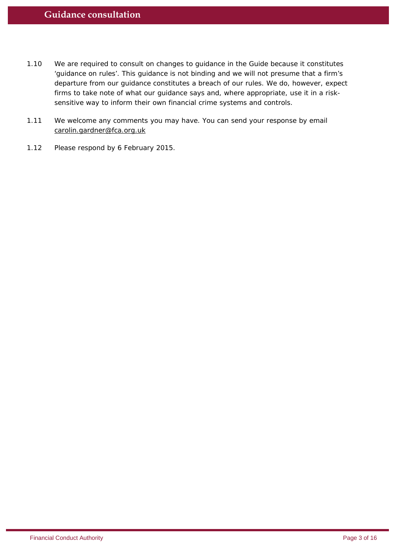- 1.10 We are required to consult on changes to guidance in the Guide because it constitutes 'guidance on rules'. This guidance is not binding and we will not presume that a firm's departure from our guidance constitutes a breach of our rules. We do, however, expect firms to take note of what our guidance says and, where appropriate, use it in a risksensitive way to inform their own financial crime systems and controls.
- 1.11 We welcome any comments you may have. You can send your response by email carolin.gardner@fca.org.uk
- 1.12 Please respond by 6 February 2015.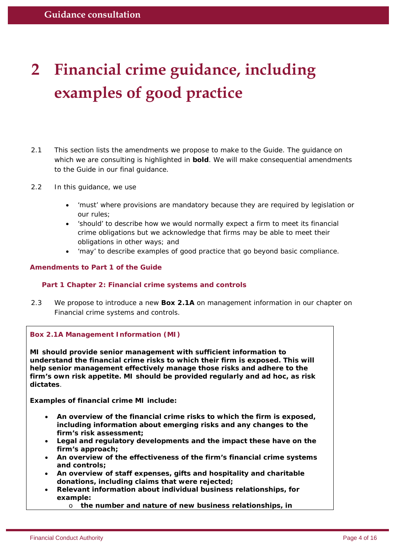# **2 Financial crime guidance, including examples of good practice**

- 2.1 This section lists the amendments we propose to make to the Guide. The guidance on which we are consulting is highlighted in **bold**. We will make consequential amendments to the Guide in our final guidance.
- 2.2 In this guidance, we use
	- 'must' where provisions are mandatory because they are required by legislation or our rules;
	- 'should' to describe how we would normally expect a firm to meet its financial crime obligations but we acknowledge that firms may be able to meet their obligations in other ways; and
	- 'may' to describe examples of good practice that go beyond basic compliance.

#### **Amendments to Part 1 of the Guide**

#### **Part 1 Chapter 2: Financial crime systems and controls**

2.3 We propose to introduce a new **Box 2.1A** on management information in our chapter on Financial crime systems and controls.

#### **Box 2.1A Management Information (MI)**

**MI should provide senior management with sufficient information to understand the financial crime risks to which their firm is exposed. This will help senior management effectively manage those risks and adhere to the firm's own risk appetite. MI should be provided regularly and ad hoc, as risk dictates**.

**Examples of financial crime MI include:**

- **An overview of the financial crime risks to which the firm is exposed, including information about emerging risks and any changes to the firm's risk assessment;**
- **Legal and regulatory developments and the impact these have on the firm's approach;**
- **An overview of the effectiveness of the firm's financial crime systems and controls;**
- **An overview of staff expenses, gifts and hospitality and charitable donations, including claims that were rejected;**
- **Relevant information about individual business relationships, for example:**

o **the number and nature of new business relationships, in**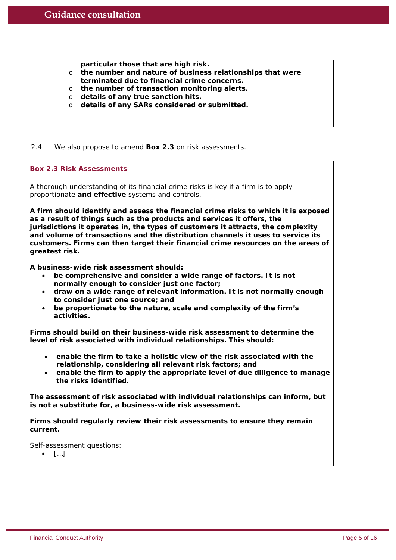**particular those that are high risk.**

- o **the number and nature of business relationships that were terminated due to financial crime concerns.**
- o **the number of transaction monitoring alerts.**
- o **details of any true sanction hits.**
- o **details of any SARs considered or submitted.**

2.4 We also propose to amend **Box 2.3** on risk assessments.

#### **Box 2.3 Risk Assessments**

A thorough understanding of its financial crime risks is key if a firm is to apply proportionate **and effective** systems and controls.

**A firm should identify and assess the financial crime risks to which it is exposed as a result of things such as the products and services it offers, the jurisdictions it operates in, the types of customers it attracts, the complexity and volume of transactions and the distribution channels it uses to service its customers. Firms can then target their financial crime resources on the areas of greatest risk.**

**A business-wide risk assessment should:**

- **be comprehensive and consider a wide range of factors. It is not normally enough to consider just one factor;**
- **draw on a wide range of relevant information. It is not normally enough to consider just one source; and**
- **be proportionate to the nature, scale and complexity of the firm's activities.**

**Firms should build on their business-wide risk assessment to determine the level of risk associated with individual relationships. This should:**

- **enable the firm to take a holistic view of the risk associated with the relationship, considering all relevant risk factors; and**
- **enable the firm to apply the appropriate level of due diligence to manage the risks identified.**

**The assessment of risk associated with individual relationships can inform, but is not a substitute for, a business-wide risk assessment.**

**Firms should regularly review their risk assessments to ensure they remain current.**

Self-assessment questions:

• […]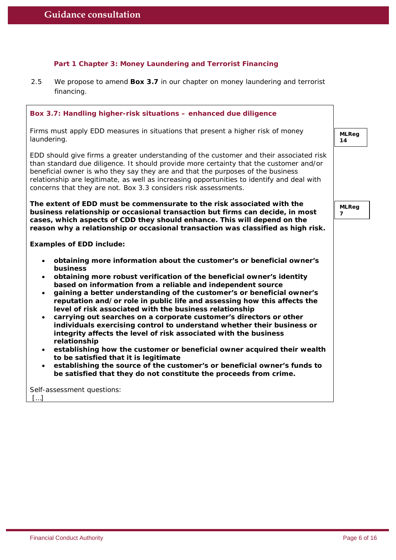#### **Part 1 Chapter 3: Money Laundering and Terrorist Financing**

2.5 We propose to amend **Box 3.7** in our chapter on money laundering and terrorist financing.

| Box 3.7: Handling higher-risk situations - enhanced due diligence                                                                                                                                                                                                                                                                                                                                                                                                                                                                                                                                                                                                                                                                                                                                                                                                                                                                                                                                                                 |                                |
|-----------------------------------------------------------------------------------------------------------------------------------------------------------------------------------------------------------------------------------------------------------------------------------------------------------------------------------------------------------------------------------------------------------------------------------------------------------------------------------------------------------------------------------------------------------------------------------------------------------------------------------------------------------------------------------------------------------------------------------------------------------------------------------------------------------------------------------------------------------------------------------------------------------------------------------------------------------------------------------------------------------------------------------|--------------------------------|
| Firms must apply EDD measures in situations that present a higher risk of money<br>laundering.                                                                                                                                                                                                                                                                                                                                                                                                                                                                                                                                                                                                                                                                                                                                                                                                                                                                                                                                    | <b>MLReg</b><br>14             |
| EDD should give firms a greater understanding of the customer and their associated risk<br>than standard due diligence. It should provide more certainty that the customer and/or<br>beneficial owner is who they say they are and that the purposes of the business<br>relationship are legitimate, as well as increasing opportunities to identify and deal with<br>concerns that they are not. Box 3.3 considers risk assessments.                                                                                                                                                                                                                                                                                                                                                                                                                                                                                                                                                                                             |                                |
| The extent of EDD must be commensurate to the risk associated with the<br>business relationship or occasional transaction but firms can decide, in most                                                                                                                                                                                                                                                                                                                                                                                                                                                                                                                                                                                                                                                                                                                                                                                                                                                                           | <b>MLReg</b><br>$\overline{7}$ |
| cases, which aspects of CDD they should enhance. This will depend on the<br>reason why a relationship or occasional transaction was classified as high risk.                                                                                                                                                                                                                                                                                                                                                                                                                                                                                                                                                                                                                                                                                                                                                                                                                                                                      |                                |
| <b>Examples of EDD include:</b>                                                                                                                                                                                                                                                                                                                                                                                                                                                                                                                                                                                                                                                                                                                                                                                                                                                                                                                                                                                                   |                                |
| obtaining more information about the customer's or beneficial owner's<br>$\bullet$<br>business<br>obtaining more robust verification of the beneficial owner's identity<br>$\bullet$<br>based on information from a reliable and independent source<br>gaining a better understanding of the customer's or beneficial owner's<br>$\bullet$<br>reputation and/or role in public life and assessing how this affects the<br>level of risk associated with the business relationship<br>carrying out searches on a corporate customer's directors or other<br>$\bullet$<br>individuals exercising control to understand whether their business or<br>integrity affects the level of risk associated with the business<br>relationship<br>establishing how the customer or beneficial owner acquired their wealth<br>$\bullet$<br>to be satisfied that it is legitimate<br>establishing the source of the customer's or beneficial owner's funds to<br>$\bullet$<br>be satisfied that they do not constitute the proceeds from crime. |                                |
| Self-assessment questions:<br>[]                                                                                                                                                                                                                                                                                                                                                                                                                                                                                                                                                                                                                                                                                                                                                                                                                                                                                                                                                                                                  |                                |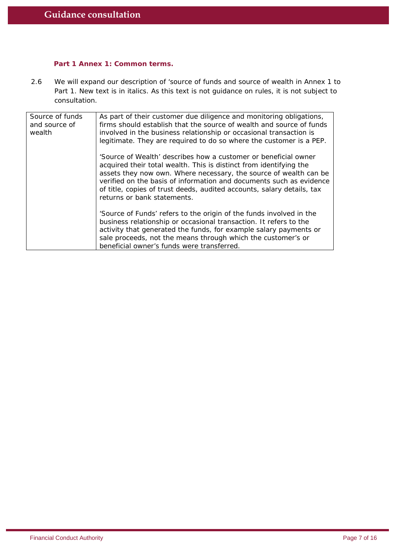#### **Part 1 Annex 1: Common terms.**

2.6 We will expand our description of 'source of funds and source of wealth in Annex 1 to Part 1. New text is in *italics.* As this text is not guidance on rules, it is not subject to consultation.

| Source of funds<br>and source of<br>wealth | As part of their customer due diligence and monitoring obligations,<br>firms should establish that the source of wealth and source of funds<br>involved in the business relationship or occasional transaction is<br>legitimate. They are required to do so where the customer is a PEP.                                                                                                   |
|--------------------------------------------|--------------------------------------------------------------------------------------------------------------------------------------------------------------------------------------------------------------------------------------------------------------------------------------------------------------------------------------------------------------------------------------------|
|                                            | 'Source of Wealth' describes how a customer or beneficial owner<br>acquired their total wealth. This is distinct from identifying the<br>assets they now own. Where necessary, the source of wealth can be<br>verified on the basis of information and documents such as evidence<br>of title, copies of trust deeds, audited accounts, salary details, tax<br>returns or bank statements. |
|                                            | 'Source of Funds' refers to the origin of the funds involved in the<br>business relationship or occasional transaction. It refers to the<br>activity that generated the funds, for example salary payments or<br>sale proceeds, not the means through which the customer's or<br>beneficial owner's funds were transferred.                                                                |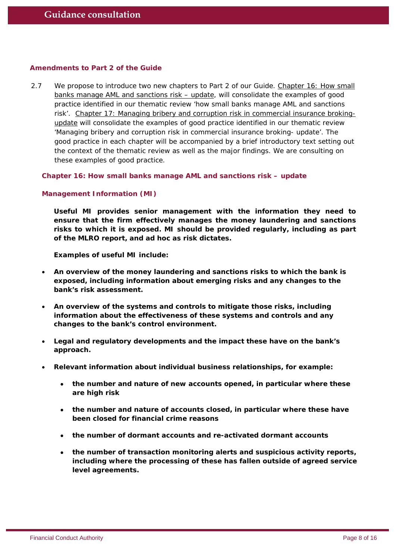#### **Amendments to Part 2 of the Guide**

2.7 We propose to introduce two new chapters to Part 2 of our Guide. *Chapter 16: How small banks manage AML and sanctions risk – update,* will consolidate the examples of good practice identified in our thematic review 'how small banks manage AML and sanctions risk'. *Chapter 17: Managing bribery and corruption risk in commercial insurance brokingupdate* will consolidate the examples of good practice identified in our thematic review 'Managing bribery and corruption risk in commercial insurance broking- update'. The good practice in each chapter will be accompanied by a brief introductory text setting out the context of the thematic review as well as the major findings. We are consulting on these examples of good practice.

**Chapter 16: How small banks manage AML and sanctions risk – update**

#### **Management Information (MI)**

**Useful MI provides senior management with the information they need to ensure that the firm effectively manages the money laundering and sanctions risks to which it is exposed. MI should be provided regularly, including as part of the MLRO report, and ad hoc as risk dictates.**

**Examples of useful MI include:**

- **An overview of the money laundering and sanctions risks to which the bank is exposed, including information about emerging risks and any changes to the bank's risk assessment.**
- **An overview of the systems and controls to mitigate those risks, including information about the effectiveness of these systems and controls and any changes to the bank's control environment.**
- **Legal and regulatory developments and the impact these have on the bank's approach.**
- **Relevant information about individual business relationships, for example:** 
	- **the number and nature of new accounts opened, in particular where these are high risk**
	- **the number and nature of accounts closed, in particular where these have been closed for financial crime reasons**
	- **the number of dormant accounts and re-activated dormant accounts**
	- **the number of transaction monitoring alerts and suspicious activity reports, including where the processing of these has fallen outside of agreed service level agreements.**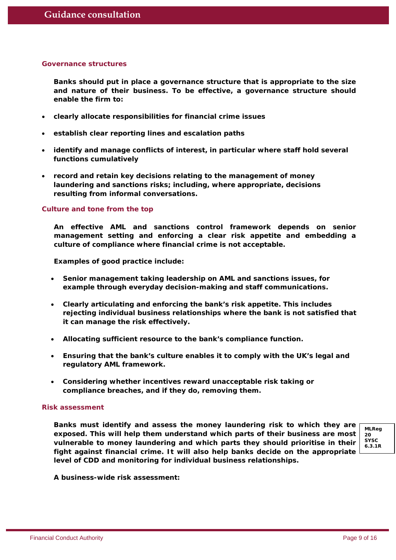#### **Governance structures**

**Banks should put in place a governance structure that is appropriate to the size and nature of their business. To be effective, a governance structure should enable the firm to:**

- **clearly allocate responsibilities for financial crime issues**
- **establish clear reporting lines and escalation paths**
- **identify and manage conflicts of interest, in particular where staff hold several functions cumulatively**
- **record and retain key decisions relating to the management of money laundering and sanctions risks; including, where appropriate, decisions resulting from informal conversations.**

#### **Culture and tone from the top**

**An effective AML and sanctions control framework depends on senior management setting and enforcing a clear risk appetite and embedding a culture of compliance where financial crime is not acceptable.** 

**Examples of good practice include:**

- **Senior management taking leadership on AML and sanctions issues, for example through everyday decision-making and staff communications.**
- **Clearly articulating and enforcing the bank's risk appetite. This includes rejecting individual business relationships where the bank is not satisfied that it can manage the risk effectively.**
- **Allocating sufficient resource to the bank's compliance function.**
- **Ensuring that the bank's culture enables it to comply with the UK's legal and regulatory AML framework.**
- **Considering whether incentives reward unacceptable risk taking or compliance breaches, and if they do, removing them.**

#### **Risk assessment**

**Banks must identify and assess the money laundering risk to which they are exposed. This will help them understand which parts of their business are most vulnerable to money laundering and which parts they should prioritise in their fight against financial crime. It will also help banks decide on the appropriate level of CDD and monitoring for individual business relationships.**



**A business-wide risk assessment:**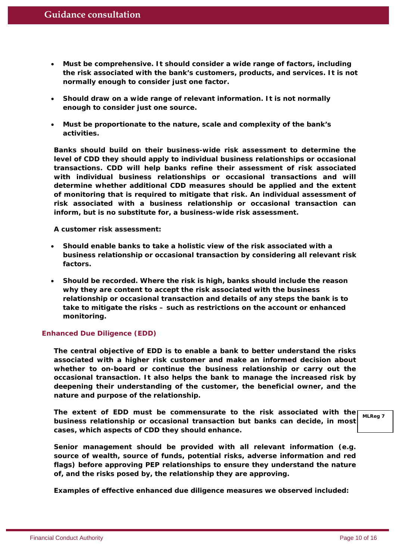- **Must be comprehensive. It should consider a wide range of factors, including the risk associated with the bank's customers, products, and services. It is not normally enough to consider just one factor.**
- **Should draw on a wide range of relevant information. It is not normally enough to consider just one source.**
- **Must be proportionate to the nature, scale and complexity of the bank's activities.**

**Banks should build on their business-wide risk assessment to determine the level of CDD they should apply to individual business relationships or occasional transactions. CDD will help banks refine their assessment of risk associated with individual business relationships or occasional transactions and will determine whether additional CDD measures should be applied and the extent of monitoring that is required to mitigate that risk. An individual assessment of risk associated with a business relationship or occasional transaction can inform, but is no substitute for, a business-wide risk assessment.**

**A customer risk assessment:** 

- **Should enable banks to take a holistic view of the risk associated with a business relationship or occasional transaction by considering all relevant risk factors.**
- **Should be recorded. Where the risk is high, banks should include the reason why they are content to accept the risk associated with the business relationship or occasional transaction and details of any steps the bank is to take to mitigate the risks – such as restrictions on the account or enhanced monitoring.**

#### **Enhanced Due Diligence (EDD)**

**The central objective of EDD is to enable a bank to better understand the risks associated with a higher risk customer and make an informed decision about whether to on-board or continue the business relationship or carry out the occasional transaction. It also helps the bank to manage the increased risk by deepening their understanding of the customer, the beneficial owner, and the nature and purpose of the relationship.** 

**The extent of EDD must be commensurate to the risk associated with the business relationship or occasional transaction but banks can decide, in most cases, which aspects of CDD they should enhance. MLReg 7**

**Senior management should be provided with all relevant information (e.g. source of wealth, source of funds, potential risks, adverse information and red flags) before approving PEP relationships to ensure they understand the nature of, and the risks posed by, the relationship they are approving.**

**Examples of effective enhanced due diligence measures we observed included:**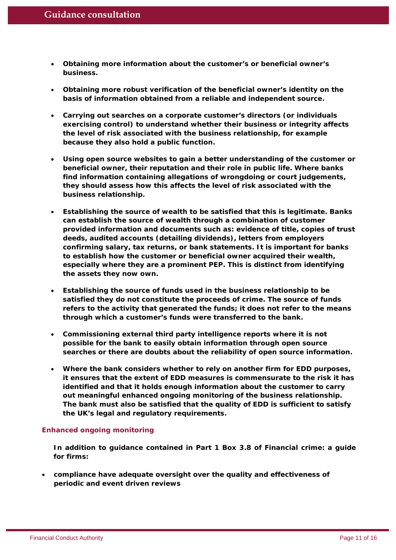- **Obtaining more information about the customer's or beneficial owner's business.**
- **Obtaining more robust verification of the beneficial owner's identity on the basis of information obtained from a reliable and independent source.**
- **Carrying out searches on a corporate customer's directors (or individuals exercising control) to understand whether their business or integrity affects the level of risk associated with the business relationship, for example because they also hold a public function.**
- **Using open source websites to gain a better understanding of the customer or beneficial owner, their reputation and their role in public life. Where banks find information containing allegations of wrongdoing or court judgements, they should assess how this affects the level of risk associated with the business relationship.**
- **Establishing the source of wealth to be satisfied that this is legitimate. Banks can establish the source of wealth through a combination of customer provided information and documents such as: evidence of title, copies of trust deeds, audited accounts (detailing dividends), letters from employers confirming salary, tax returns, or bank statements. It is important for banks to establish how the customer or beneficial owner acquired their wealth, especially where they are a prominent PEP. This is distinct from identifying the assets they now own.**
- **Establishing the source of funds used in the business relationship to be satisfied they do not constitute the proceeds of crime. The source of funds refers to the activity that generated the funds; it does not refer to the means through which a customer's funds were transferred to the bank.**
- **Commissioning external third party intelligence reports where it is not possible for the bank to easily obtain information through open source searches or there are doubts about the reliability of open source information.**
- **Where the bank considers whether to rely on another firm for EDD purposes, it ensures that the extent of EDD measures is commensurate to the risk it has identified and that it holds enough information about the customer to carry out meaningful enhanced ongoing monitoring of the business relationship. The bank must also be satisfied that the quality of EDD is sufficient to satisfy the UK's legal and regulatory requirements.**

#### **Enhanced ongoing monitoring**

**In addition to guidance contained in Part 1 Box 3.8 of** *Financial crime: a guide for firms***:**

• **compliance have adequate oversight over the quality and effectiveness of periodic and event driven reviews**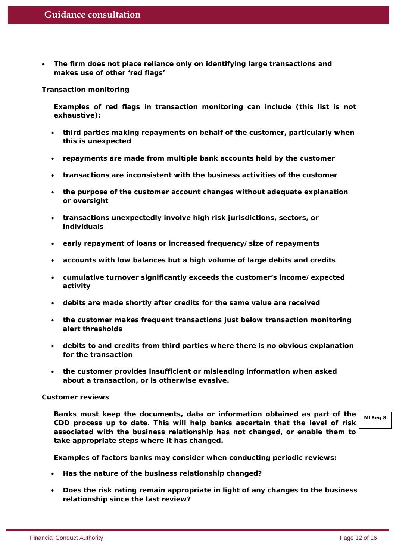• **The firm does not place reliance only on identifying large transactions and makes use of other 'red flags'**

#### *Transaction monitoring*

**Examples of red flags in transaction monitoring can include (this list is not exhaustive):**

- **third parties making repayments on behalf of the customer, particularly when this is unexpected**
- **repayments are made from multiple bank accounts held by the customer**
- **transactions are inconsistent with the business activities of the customer**
- **the purpose of the customer account changes without adequate explanation or oversight**
- **transactions unexpectedly involve high risk jurisdictions, sectors, or individuals**
- **early repayment of loans or increased frequency/size of repayments**
- **accounts with low balances but a high volume of large debits and credits**
- **cumulative turnover significantly exceeds the customer's income/expected activity**
- **debits are made shortly after credits for the same value are received**
- **the customer makes frequent transactions just below transaction monitoring alert thresholds**
- **debits to and credits from third parties where there is no obvious explanation for the transaction**
- **the customer provides insufficient or misleading information when asked about a transaction, or is otherwise evasive.**

#### *Customer reviews*

**Banks must keep the documents, data or information obtained as part of the CDD process up to date. This will help banks ascertain that the level of risk associated with the business relationship has not changed, or enable them to take appropriate steps where it has changed.**

**MLReg 8**

**Examples of factors banks may consider when conducting periodic reviews:**

- **Has the nature of the business relationship changed?**
- **Does the risk rating remain appropriate in light of any changes to the business relationship since the last review?**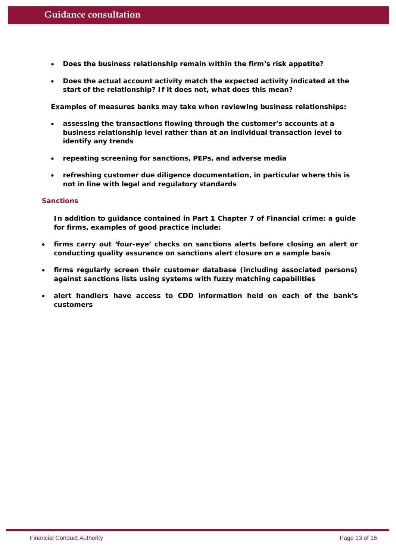- **Does the business relationship remain within the firm's risk appetite?**
- **Does the actual account activity match the expected activity indicated at the start of the relationship? If it does not, what does this mean?**

**Examples of measures banks may take when reviewing business relationships:**

- **assessing the transactions flowing through the customer's accounts at a business relationship level rather than at an individual transaction level to identify any trends**
- **repeating screening for sanctions, PEPs, and adverse media**
- **refreshing customer due diligence documentation, in particular where this is not in line with legal and regulatory standards**

#### **Sanctions**

**In addition to guidance contained in Part 1 Chapter 7 of** *Financial crime: a guide for firms,* **examples of good practice include***:*

- **firms carry out 'four-eye' checks on sanctions alerts before closing an alert or conducting quality assurance on sanctions alert closure on a sample basis**
- **firms regularly screen their customer database (including associated persons) against sanctions lists using systems with fuzzy matching capabilities**
- **alert handlers have access to CDD information held on each of the bank's customers**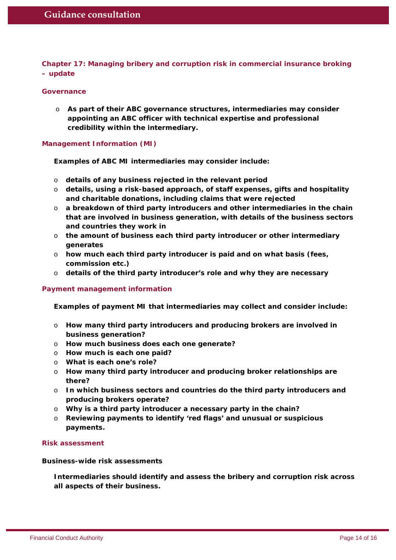**Chapter 17: Managing bribery and corruption risk in commercial insurance broking – update**

#### **Governance**

o **As part of their ABC governance structures, intermediaries may consider appointing an ABC officer with technical expertise and professional credibility within the intermediary.**

**Management Information (MI)**

**Examples of ABC MI intermediaries may consider include:**

- o **details of any business rejected in the relevant period**
- o **details, using a risk-based approach, of staff expenses, gifts and hospitality and charitable donations, including claims that were rejected**
- o **a breakdown of third party introducers and other intermediaries in the chain that are involved in business generation, with details of the business sectors and countries they work in**
- o **the amount of business each third party introducer or other intermediary generates**
- o **how much each third party introducer is paid and on what basis (fees, commission etc.)**
- o **details of the third party introducer's role and why they are necessary**

#### **Payment management information**

**Examples of payment MI that intermediaries may collect and consider include:**

- o **How many third party introducers and producing brokers are involved in business generation?**
- o **How much business does each one generate?**
- o **How much is each one paid?**
- o **What is each one's role?**
- o **How many third party introducer and producing broker relationships are there?**
- o **In which business sectors and countries do the third party introducers and producing brokers operate?**
- o **Why is a third party introducer a necessary party in the chain?**
- o **Reviewing payments to identify 'red flags' and unusual or suspicious payments.**

#### **Risk assessment**

#### *Business-wide risk assessments*

**Intermediaries should identify and assess the bribery and corruption risk across all aspects of their business.**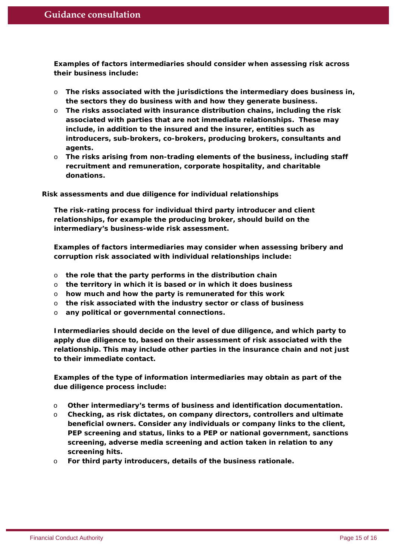**Examples of factors intermediaries should consider when assessing risk across their business include:**

- o **The risks associated with the jurisdictions the intermediary does business in, the sectors they do business with and how they generate business.**
- o **The risks associated with insurance distribution chains, including the risk associated with parties that are not immediate relationships. These may include, in addition to the insured and the insurer, entities such as introducers, sub-brokers, co-brokers, producing brokers, consultants and agents.**
- o **The risks arising from non-trading elements of the business, including staff recruitment and remuneration, corporate hospitality, and charitable donations.**

#### *Risk assessments and due diligence for individual relationships*

**The risk-rating process for individual third party introducer and client relationships, for example the producing broker, should build on the intermediary's business-wide risk assessment.**

**Examples of factors intermediaries may consider when assessing bribery and corruption risk associated with individual relationships include:**

- o **the role that the party performs in the distribution chain**
- o **the territory in which it is based or in which it does business**
- o **how much and how the party is remunerated for this work**
- o **the risk associated with the industry sector or class of business**
- o **any political or governmental connections.**

**Intermediaries should decide on the level of due diligence, and which party to apply due diligence to, based on their assessment of risk associated with the relationship. This may include other parties in the insurance chain and not just to their immediate contact.**

**Examples of the type of information intermediaries may obtain as part of the due diligence process include:**

- o **Other intermediary's terms of business and identification documentation.**
- o **Checking, as risk dictates, on company directors, controllers and ultimate beneficial owners. Consider any individuals or company links to the client, PEP screening and status, links to a PEP or national government, sanctions screening, adverse media screening and action taken in relation to any screening hits.**
- o **For third party introducers, details of the business rationale.**